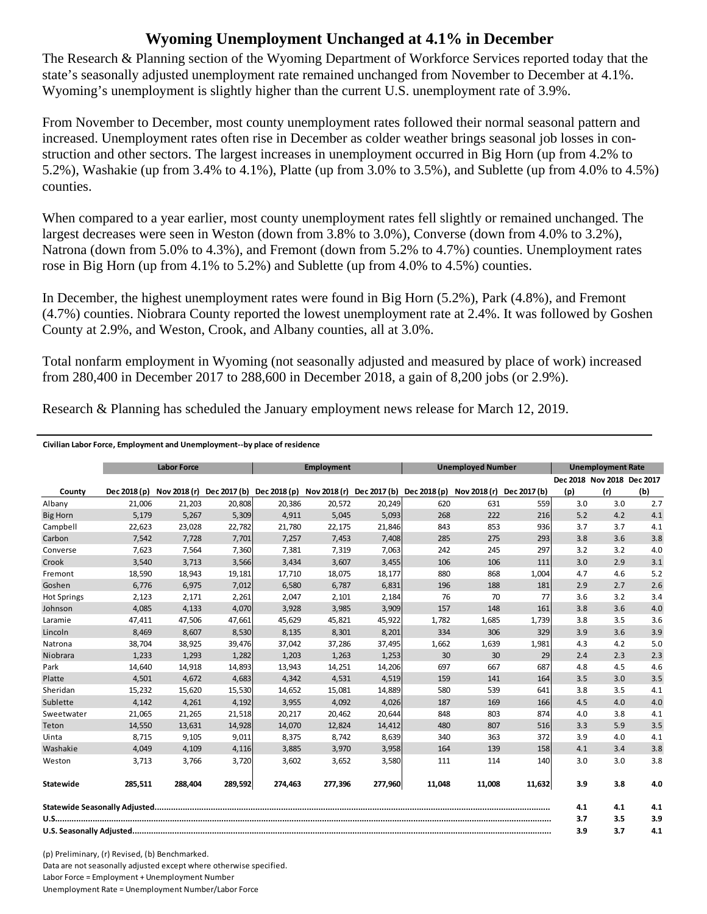## **Wyoming Unemployment Unchanged at 4.1% in December**

The Research & Planning section of the Wyoming Department of Workforce Services reported today that the state's seasonally adjusted unemployment rate remained unchanged from November to December at 4.1%. Wyoming's unemployment is slightly higher than the current U.S. unemployment rate of 3.9%.

From November to December, most county unemployment rates followed their normal seasonal pattern and increased. Unemployment rates often rise in December as colder weather brings seasonal job losses in construction and other sectors. The largest increases in unemployment occurred in Big Horn (up from 4.2% to 5.2%), Washakie (up from 3.4% to 4.1%), Platte (up from 3.0% to 3.5%), and Sublette (up from 4.0% to 4.5%) counties.

When compared to a year earlier, most county unemployment rates fell slightly or remained unchanged. The largest decreases were seen in Weston (down from 3.8% to 3.0%), Converse (down from 4.0% to 3.2%), Natrona (down from 5.0% to 4.3%), and Fremont (down from 5.2% to 4.7%) counties. Unemployment rates rose in Big Horn (up from 4.1% to 5.2%) and Sublette (up from 4.0% to 4.5%) counties.

In December, the highest unemployment rates were found in Big Horn (5.2%), Park (4.8%), and Fremont (4.7%) counties. Niobrara County reported the lowest unemployment rate at 2.4%. It was followed by Goshen County at 2.9%, and Weston, Crook, and Albany counties, all at 3.0%.

Total nonfarm employment in Wyoming (not seasonally adjusted and measured by place of work) increased from 280,400 in December 2017 to 288,600 in December 2018, a gain of 8,200 jobs (or 2.9%).

Research & Planning has scheduled the January employment news release for March 12, 2019.

## **Civilian Labor Force, Employment and Unemployment‐‐by place of residence**

|                    | <b>Labor Force</b> |         |         |                                        | <b>Employment</b> |         |                                                     | <b>Unemployed Number</b> |              |     | <b>Unemployment Rate</b>   |     |  |
|--------------------|--------------------|---------|---------|----------------------------------------|-------------------|---------|-----------------------------------------------------|--------------------------|--------------|-----|----------------------------|-----|--|
|                    |                    |         |         |                                        |                   |         |                                                     |                          |              |     | Dec 2018 Nov 2018 Dec 2017 |     |  |
| County             | Dec 2018 (p)       |         |         | Nov 2018 (r) Dec 2017 (b) Dec 2018 (p) |                   |         | Nov 2018 (r) Dec 2017 (b) Dec 2018 (p) Nov 2018 (r) |                          | Dec 2017 (b) | (p) | (r)                        | (b) |  |
| Albany             | 21,006             | 21,203  | 20,808  | 20,386                                 | 20,572            | 20,249  | 620                                                 | 631                      | 559          | 3.0 | 3.0                        | 2.7 |  |
| <b>Big Horn</b>    | 5,179              | 5,267   | 5,309   | 4,911                                  | 5,045             | 5,093   | 268                                                 | 222                      | 216          | 5.2 | 4.2                        | 4.1 |  |
| Campbell           | 22,623             | 23,028  | 22,782  | 21,780                                 | 22,175            | 21,846  | 843                                                 | 853                      | 936          | 3.7 | 3.7                        | 4.1 |  |
| Carbon             | 7,542              | 7,728   | 7,701   | 7,257                                  | 7,453             | 7,408   | 285                                                 | 275                      | 293          | 3.8 | 3.6                        | 3.8 |  |
| Converse           | 7,623              | 7,564   | 7,360   | 7,381                                  | 7,319             | 7,063   | 242                                                 | 245                      | 297          | 3.2 | 3.2                        | 4.0 |  |
| Crook              | 3,540              | 3,713   | 3,566   | 3,434                                  | 3,607             | 3,455   | 106                                                 | 106                      | 111          | 3.0 | 2.9                        | 3.1 |  |
| Fremont            | 18,590             | 18,943  | 19,181  | 17,710                                 | 18,075            | 18,177  | 880                                                 | 868                      | 1,004        | 4.7 | 4.6                        | 5.2 |  |
| Goshen             | 6,776              | 6,975   | 7,012   | 6,580                                  | 6,787             | 6,831   | 196                                                 | 188                      | 181          | 2.9 | 2.7                        | 2.6 |  |
| <b>Hot Springs</b> | 2,123              | 2,171   | 2,261   | 2.047                                  | 2,101             | 2,184   | 76                                                  | 70                       | 77           | 3.6 | 3.2                        | 3.4 |  |
| Johnson            | 4,085              | 4,133   | 4,070   | 3,928                                  | 3,985             | 3,909   | 157                                                 | 148                      | 161          | 3.8 | 3.6                        | 4.0 |  |
| Laramie            | 47,411             | 47,506  | 47,661  | 45,629                                 | 45,821            | 45,922  | 1,782                                               | 1,685                    | 1,739        | 3.8 | 3.5                        | 3.6 |  |
| Lincoln            | 8,469              | 8,607   | 8,530   | 8,135                                  | 8,301             | 8,201   | 334                                                 | 306                      | 329          | 3.9 | 3.6                        | 3.9 |  |
| Natrona            | 38,704             | 38,925  | 39,476  | 37,042                                 | 37,286            | 37,495  | 1,662                                               | 1,639                    | 1,981        | 4.3 | 4.2                        | 5.0 |  |
| Niobrara           | 1,233              | 1,293   | 1,282   | 1,203                                  | 1,263             | 1,253   | 30 <sup>°</sup>                                     | 30                       | 29           | 2.4 | 2.3                        | 2.3 |  |
| Park               | 14,640             | 14,918  | 14,893  | 13,943                                 | 14,251            | 14,206  | 697                                                 | 667                      | 687          | 4.8 | 4.5                        | 4.6 |  |
| Platte             | 4,501              | 4,672   | 4,683   | 4,342                                  | 4,531             | 4,519   | 159                                                 | 141                      | 164          | 3.5 | 3.0                        | 3.5 |  |
| Sheridan           | 15,232             | 15,620  | 15,530  | 14,652                                 | 15,081            | 14,889  | 580                                                 | 539                      | 641          | 3.8 | 3.5                        | 4.1 |  |
| Sublette           | 4,142              | 4,261   | 4,192   | 3,955                                  | 4,092             | 4,026   | 187                                                 | 169                      | 166          | 4.5 | 4.0                        | 4.0 |  |
| Sweetwater         | 21,065             | 21,265  | 21,518  | 20,217                                 | 20,462            | 20,644  | 848                                                 | 803                      | 874          | 4.0 | 3.8                        | 4.1 |  |
| Teton              | 14,550             | 13,631  | 14,928  | 14,070                                 | 12,824            | 14,412  | 480                                                 | 807                      | 516          | 3.3 | 5.9                        | 3.5 |  |
| Uinta              | 8,715              | 9,105   | 9,011   | 8,375                                  | 8,742             | 8,639   | 340                                                 | 363                      | 372          | 3.9 | 4.0                        | 4.1 |  |
| Washakie           | 4.049              | 4,109   | 4,116   | 3,885                                  | 3,970             | 3,958   | 164                                                 | 139                      | 158          | 4.1 | 3.4                        | 3.8 |  |
| Weston             | 3,713              | 3,766   | 3,720   | 3,602                                  | 3,652             | 3,580   | 111                                                 | 114                      | 140          | 3.0 | 3.0                        | 3.8 |  |
| Statewide          | 285,511            | 288.404 | 289,592 | 274.463                                | 277.396           | 277,960 | 11.048                                              | 11.008                   | 11,632       | 3.9 | 3.8                        | 4.0 |  |
|                    |                    |         |         |                                        |                   |         |                                                     | 4.1                      | 4.1          | 4.1 |                            |     |  |
|                    |                    |         |         |                                        |                   |         |                                                     |                          |              | 3.7 | 3.5                        | 3.9 |  |
|                    |                    |         |         |                                        |                   |         |                                                     | 3.9                      | 3.7          | 4.1 |                            |     |  |

(p) Preliminary, (r) Revised, (b) Benchmarked. Data are not seasonally adjusted except where otherwise specified. Labor Force = Employment + Unemployment Number Unemployment Rate = Unemployment Number/Labor Force